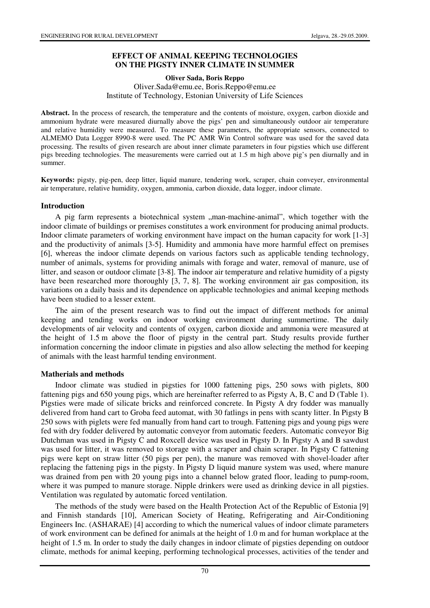### **EFFECT OF ANIMAL KEEPING TECHNOLOGIES ON THE PIGSTY INNER CLIMATE IN SUMMER**

**Oliver Sada, Boris Reppo** 

Oliver.Sada@emu.ee, Boris.Reppo@emu.ee Institute of Technology, Estonian University of Life Sciences

**Abstract.** In the process of research, the temperature and the contents of moisture, oxygen, carbon dioxide and ammonium hydrate were measured diurnally above the pigs' pen and simultaneously outdoor air temperature and relative humidity were measured. To measure these parameters, the appropriate sensors, connected to ALMEMO Data Logger 8990-8 were used. The PC AMR Win Control software was used for the saved data processing. The results of given research are about inner climate parameters in four pigsties which use different pigs breeding technologies. The measurements were carried out at 1.5 m high above pig's pen diurnally and in summer.

**Keywords:** pigsty, pig-pen, deep litter, liquid manure, tendering work, scraper, chain conveyer, environmental air temperature, relative humidity, oxygen, ammonia, carbon dioxide, data logger, indoor climate.

#### **Introduction**

A pig farm represents a biotechnical system "man-machine-animal", which together with the indoor climate of buildings or premises constitutes a work environment for producing animal products. Indoor climate parameters of working environment have impact on the human capacity for work [1-3] and the productivity of animals [3-5]. Humidity and ammonia have more harmful effect on premises [6], whereas the indoor climate depends on various factors such as applicable tending technology, number of animals, systems for providing animals with forage and water, removal of manure, use of litter, and season or outdoor climate [3-8]. The indoor air temperature and relative humidity of a pigsty have been researched more thoroughly [3, 7, 8]. The working environment air gas composition, its variations on a daily basis and its dependence on applicable technologies and animal keeping methods have been studied to a lesser extent.

The aim of the present research was to find out the impact of different methods for animal keeping and tending works on indoor working environment during summertime. The daily developments of air velocity and contents of oxygen, carbon dioxide and ammonia were measured at the height of 1.5 m above the floor of pigsty in the central part. Study results provide further information concerning the indoor climate in pigsties and also allow selecting the method for keeping of animals with the least harmful tending environment.

#### **Matherials and methods**

Indoor climate was studied in pigsties for 1000 fattening pigs, 250 sows with piglets, 800 fattening pigs and 650 young pigs, which are hereinafter referred to as Pigsty A, B, C and D (Table 1). Pigsties were made of silicate bricks and reinforced concrete. In Pigsty A dry fodder was manually delivered from hand cart to Groba feed automat, with 30 fatlings in pens with scanty litter. In Pigsty B 250 sows with piglets were fed manually from hand cart to trough. Fattening pigs and young pigs were fed with dry fodder delivered by automatic conveyor from automatic feeders. Automatic conveyor Big Dutchman was used in Pigsty C and Roxcell device was used in Pigsty D. In Pigsty A and B sawdust was used for litter, it was removed to storage with a scraper and chain scraper. In Pigsty C fattening pigs were kept on straw litter (50 pigs per pen), the manure was removed with shovel-loader after replacing the fattening pigs in the pigsty. In Pigsty D liquid manure system was used, where manure was drained from pen with 20 young pigs into a channel below grated floor, leading to pump-room, where it was pumped to manure storage. Nipple drinkers were used as drinking device in all pigsties. Ventilation was regulated by automatic forced ventilation.

The methods of the study were based on the Health Protection Act of the Republic of Estonia [9] and Finnish standards [10], American Society of Heating, Refrigerating and Air-Conditioning Engineers Inc. (ASHARAE) [4] according to which the numerical values of indoor climate parameters of work environment can be defined for animals at the height of 1.0 m and for human workplace at the height of 1.5 m. In order to study the daily changes in indoor climate of pigsties depending on outdoor climate, methods for animal keeping, performing technological processes, activities of the tender and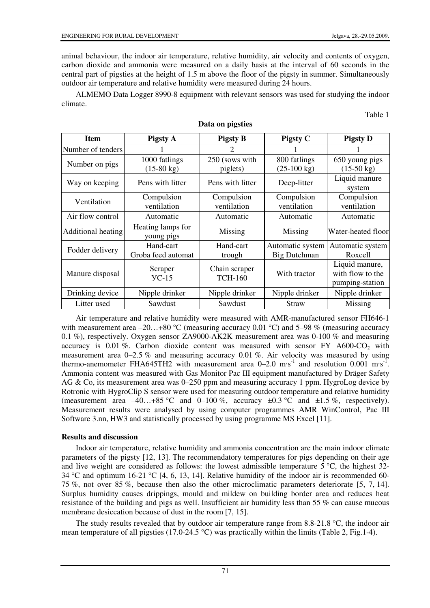animal behaviour, the indoor air temperature, relative humidity, air velocity and contents of oxygen, carbon dioxide and ammonia were measured on a daily basis at the interval of 60 seconds in the central part of pigsties at the height of 1.5 m above the floor of the pigsty in summer. Simultaneously outdoor air temperature and relative humidity were measured during 24 hours.

ALMEMO Data Logger 8990-8 equipment with relevant sensors was used for studying the indoor climate.

Table 1

| <b>Item</b>               | <b>Pigsty A</b>                       | <b>Pigsty B</b>                 | <b>Pigsty C</b>                         | <b>Pigsty D</b>                                       |  |
|---------------------------|---------------------------------------|---------------------------------|-----------------------------------------|-------------------------------------------------------|--|
| Number of tenders         |                                       |                                 |                                         |                                                       |  |
| Number on pigs            | 1000 fatlings<br>$(15-80 \text{ kg})$ | 250 (sows with<br>piglets)      | 800 fatlings<br>$(25-100 \text{ kg})$   | 650 young pigs<br>$(15-50 \text{ kg})$                |  |
| Way on keeping            | Pens with litter                      | Pens with litter                | Deep-litter                             | Liquid manure<br>system                               |  |
| Ventilation               | Compulsion<br>ventilation             | Compulsion<br>ventilation       | Compulsion<br>ventilation               | Compulsion<br>ventilation                             |  |
| Air flow control          | Automatic                             | Automatic                       | Automatic                               | Automatic                                             |  |
| <b>Additional heating</b> | Heating lamps for<br>young pigs       | Missing                         | Missing                                 | Water-heated floor                                    |  |
| Fodder delivery           | Hand-cart<br>Groba feed automat       | Hand-cart<br>trough             | Automatic system<br><b>Big Dutchman</b> | Automatic system<br>Roxcell                           |  |
| Manure disposal           | Scraper<br>$VC-15$                    | Chain scraper<br><b>TCH-160</b> | With tractor                            | Liquid manure,<br>with flow to the<br>pumping-station |  |
| Drinking device           | Nipple drinker                        | Nipple drinker                  | Nipple drinker                          | Nipple drinker                                        |  |
| Litter used               | Sawdust                               | Sawdust                         | Straw                                   | Missing                                               |  |

**Data on pigsties**

Air temperature and relative humidity were measured with AMR-manufactured sensor FH646-1 with measurement area  $-20...+80$  °C (measuring accuracy 0.01 °C) and 5–98 % (measuring accuracy 0.1 %), respectively. Oxygen sensor ZA9000-AK2K measurement area was 0-100 % and measuring accuracy is 0.01 %. Carbon dioxide content was measured with sensor FY  $A600-CO<sub>2</sub>$  with measurement area  $0-2.5\%$  and measuring accuracy 0.01 %. Air velocity was measured by using thermo-anemometer FHA645TH2 with measurement area  $0-2.0 \text{ m} \cdot \text{s}^{-1}$  and resolution  $0.001 \text{ m} \cdot \text{s}^{-1}$ . Ammonia content was measured with Gas Monitor Pac III equipment manufactured by Dräger Safety AG & Co, its measurement area was 0–250 ppm and measuring accuracy 1 ppm. HygroLog device by Rotronic with HygroClip S sensor were used for measuring outdoor temperature and relative humidity (measurement area  $-40...+85$  °C and 0–100 %, accuracy  $\pm 0.3$  °C and  $\pm 1.5$  %, respectively). Measurement results were analysed by using computer programmes AMR WinControl, Pac III Software 3.nn, HW3 and statistically processed by using programme MS Excel [11].

### **Results and discussion**

Indoor air temperature, relative humidity and ammonia concentration are the main indoor climate parameters of the pigsty [12, 13]. The recommendatory temperatures for pigs depending on their age and live weight are considered as follows: the lowest admissible temperature  $5^{\circ}$ C, the highest 32-34 °C and optimum 16-21 °C [4, 6, 13, 14]. Relative humidity of the indoor air is recommended 60-75 %, not over 85 %, because then also the other microclimatic parameters deteriorate [5, 7, 14]. Surplus humidity causes drippings, mould and mildew on building border area and reduces heat resistance of the building and pigs as well. Insufficient air humidity less than 55 % can cause mucous membrane desiccation because of dust in the room [7, 15].

The study results revealed that by outdoor air temperature range from 8.8-21.8  $\degree$ C, the indoor air mean temperature of all pigsties (17.0-24.5 °C) was practically within the limits (Table 2, Fig.1-4).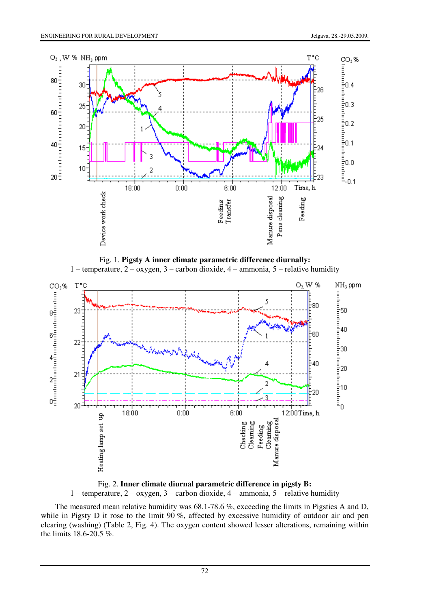





Fig. 2. **Inner climate diurnal parametric difference in pigsty B:**  1 – temperature, 2 – oxygen, 3 – carbon dioxide, 4 – ammonia, 5 – relative humidity

The measured mean relative humidity was 68.1-78.6 %, exceeding the limits in Pigsties A and D, while in Pigsty D it rose to the limit 90 %, affected by excessive humidity of outdoor air and pen clearing (washing) (Table 2, Fig. 4). The oxygen content showed lesser alterations, remaining within the limits 18.6-20.5 %.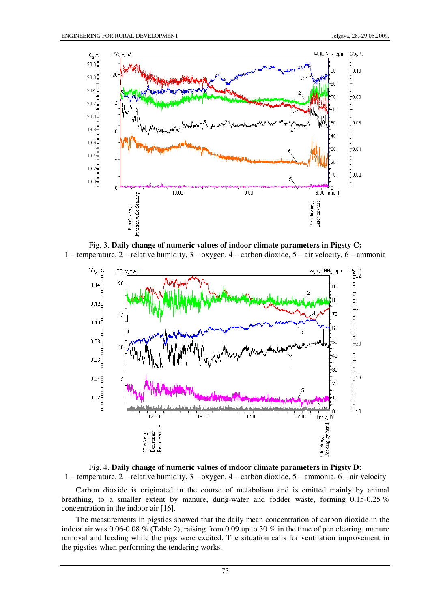

Fig. 3. **Daily change of numeric values of indoor climate parameters in Pigsty C:** 1 – temperature, 2 – relative humidity, 3 – oxygen, 4 – carbon dioxide, 5 – air velocity, 6 – ammonia





Carbon dioxide is originated in the course of metabolism and is emitted mainly by animal breathing, to a smaller extent by manure, dung-water and fodder waste, forming 0.15-0.25 % concentration in the indoor air [16].

The measurements in pigsties showed that the daily mean concentration of carbon dioxide in the indoor air was 0.06-0.08 % (Table 2), raising from 0.09 up to 30 % in the time of pen clearing, manure removal and feeding while the pigs were excited. The situation calls for ventilation improvement in the pigsties when performing the tendering works.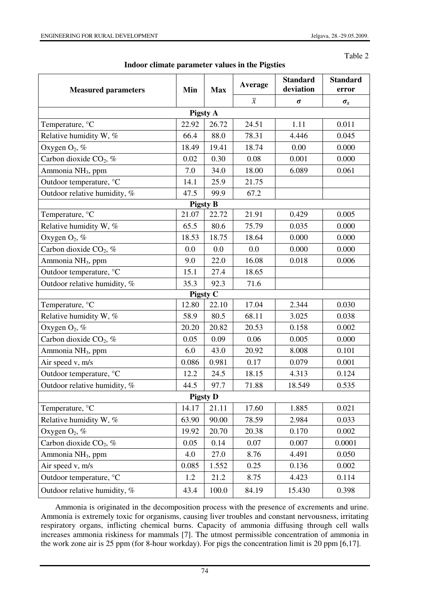Table 2

| <b>Measured parameters</b>         | Min   | <b>Max</b> | Average        | <b>Standard</b><br>deviation | <b>Standard</b><br>error |  |  |  |  |
|------------------------------------|-------|------------|----------------|------------------------------|--------------------------|--|--|--|--|
|                                    |       |            | $\overline{x}$ | $\sigma$                     | $\sigma_x$               |  |  |  |  |
| <b>Pigsty A</b>                    |       |            |                |                              |                          |  |  |  |  |
| Temperature, °C                    | 22.92 | 26.72      | 24.51          | 1.11                         | 0.011                    |  |  |  |  |
| Relative humidity W, %             | 66.4  | 88.0       | 78.31          | 4.446                        | 0.045                    |  |  |  |  |
| Oxygen $O_2$ , %                   | 18.49 | 19.41      | 18.74          | 0.00                         | 0.000                    |  |  |  |  |
| Carbon dioxide CO <sub>2</sub> , % | 0.02  | 0.30       | 0.08           | 0.001                        | 0.000                    |  |  |  |  |
| Ammonia NH <sub>3</sub> , ppm      | 7.0   | 34.0       | 18.00          | 6.089                        | 0.061                    |  |  |  |  |
| Outdoor temperature, °C            | 14.1  | 25.9       | 21.75          |                              |                          |  |  |  |  |
| Outdoor relative humidity, %       | 47.5  | 99.9       | 67.2           |                              |                          |  |  |  |  |
| <b>Pigsty B</b>                    |       |            |                |                              |                          |  |  |  |  |
| Temperature, °C                    | 21.07 | 22.72      | 21.91          | 0.429                        | 0.005                    |  |  |  |  |
| Relative humidity W, %             | 65.5  | 80.6       | 75.79          | 0.035                        | 0.000                    |  |  |  |  |
| Oxygen $O_2$ , %                   | 18.53 | 18.75      | 18.64          | 0.000                        | 0.000                    |  |  |  |  |
| Carbon dioxide $CO2$ , %           | 0.0   | 0.0        | 0.0            | 0.000                        | 0.000                    |  |  |  |  |
| Ammonia NH <sub>3</sub> , ppm      | 9.0   | 22.0       | 16.08          | 0.018                        | 0.006                    |  |  |  |  |
| Outdoor temperature, °C            | 15.1  | 27.4       | 18.65          |                              |                          |  |  |  |  |
| Outdoor relative humidity, %       | 35.3  | 92.3       | 71.6           |                              |                          |  |  |  |  |
| Pigsty C                           |       |            |                |                              |                          |  |  |  |  |
| Temperature, °C                    | 12.80 | 22.10      | 17.04          | 2.344                        | 0.030                    |  |  |  |  |
| Relative humidity W, %             | 58.9  | 80.5       | 68.11          | 3.025                        | 0.038                    |  |  |  |  |
| Oxygen $O_2$ , %                   | 20.20 | 20.82      | 20.53          | 0.158                        | 0.002                    |  |  |  |  |
| Carbon dioxide $CO2$ , %           | 0.05  | 0.09       | 0.06           | 0.005                        | 0.000                    |  |  |  |  |
| Ammonia NH <sub>3</sub> , ppm      | 6.0   | 43.0       | 20.92          | 8.008                        | 0.101                    |  |  |  |  |
| Air speed v, m/s                   | 0.086 | 0.981      | 0.17           | 0.079                        | 0.001                    |  |  |  |  |
| Outdoor temperature, °C            | 12.2  | 24.5       | 18.15          | 4.313                        | 0.124                    |  |  |  |  |
| Outdoor relative humidity, %       | 44.5  | 97.7       | 71.88          | 18.549                       | 0.535                    |  |  |  |  |
| <b>Pigsty D</b>                    |       |            |                |                              |                          |  |  |  |  |
| Temperature, °C                    | 14.17 | 21.11      | 17.60          | 1.885                        | 0.021                    |  |  |  |  |
| Relative humidity W, %             | 63.90 | 90.00      | 78.59          | 2.984                        | 0.033                    |  |  |  |  |
| Oxygen $O_2$ , %                   | 19.92 | 20.70      | 20.38          | 0.170                        | 0.002                    |  |  |  |  |
| Carbon dioxide $CO2$ , %           | 0.05  | 0.14       | 0.07           | 0.007                        | 0.0001                   |  |  |  |  |
| Ammonia NH <sub>3</sub> , ppm      | 4.0   | 27.0       | 8.76           | 4.491                        | 0.050                    |  |  |  |  |
| Air speed v, m/s                   | 0.085 | 1.552      | 0.25           | 0.136                        | 0.002                    |  |  |  |  |
| Outdoor temperature, °C            | 1.2   | 21.2       | 8.75           | 4.423                        | 0.114                    |  |  |  |  |
| Outdoor relative humidity, %       | 43.4  | 100.0      | 84.19          | 15.430                       | 0.398                    |  |  |  |  |

**Indoor climate parameter values in the Pigsties** 

Ammonia is originated in the decomposition process with the presence of excrements and urine. Ammonia is extremely toxic for organisms, causing liver troubles and constant nervousness, irritating respiratory organs, inflicting chemical burns. Capacity of ammonia diffusing through cell walls increases ammonia riskiness for mammals [7]. The utmost permissible concentration of ammonia in the work zone air is 25 ppm (for 8-hour workday). For pigs the concentration limit is 20 ppm [6,17].